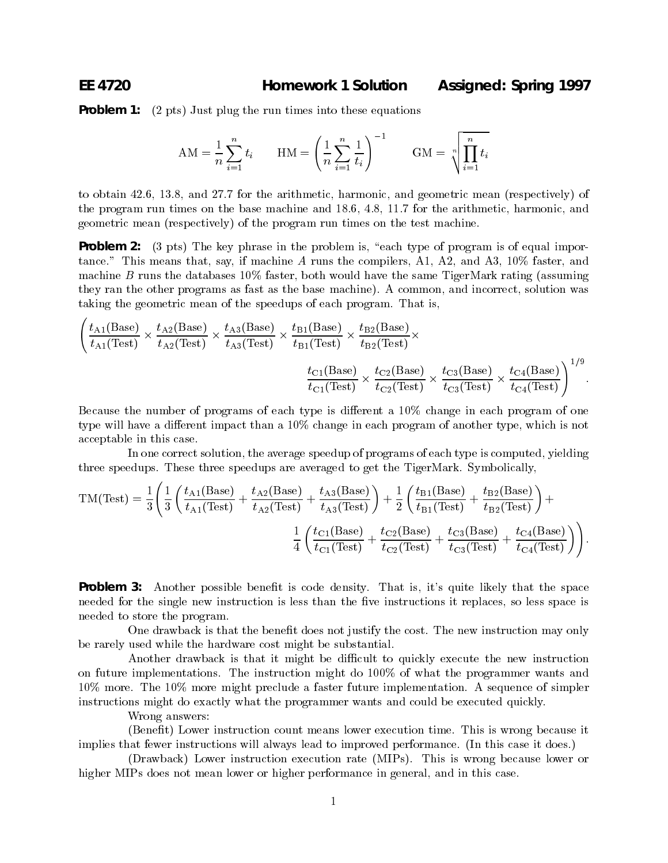**Problem 1:** (2 pts) Just plug the run times into these equations

$$
AM = \frac{1}{n} \sum_{i=1}^{n} t_i \qquad HM = \left(\frac{1}{n} \sum_{i=1}^{n} \frac{1}{t_i}\right)^{-1} \qquad GM = \sqrt[n]{\prod_{i=1}^{n} t_i}
$$

to obtain 42.6, 13.8, and 27.7 for the arithmetic, harmonic, and geometric mean (respectively) of the program run times on the base machine and 18.6, 4.8, 11.7 for the arithmetic, harmonic, and geometric mean (respectively) of the program run times on the test machine.

**Problem 2:** (3 pts) The key phrase in the problem is, "each type of program is of equal importance." This means that, say, if machine A runs the compilers, A1, A2, and A3, 10% faster, and machine B runs the databases  $10\%$  faster, both would have the same TigerMark rating (assuming they ran the other programs as fast as the base machine). A common, and incorrect, solution was taking the geometric mean of the speedups of each program. That is,

$$
\left(\frac{t_{A1}(\text{Base})}{t_{A1}(\text{Test})} \times \frac{t_{A2}(\text{Base})}{t_{A2}(\text{Test})} \times \frac{t_{A3}(\text{Base})}{t_{A3}(\text{Test})} \times \frac{t_{B1}(\text{Base})}{t_{B1}(\text{Test})} \times \frac{t_{B2}(\text{Base})}{t_{B2}(\text{Test})} \times \frac{t_{C3}(\text{Base})}{t_{C3}(\text{Test})} \times \frac{t_{C4}(\text{Base})}{t_{C4}(\text{Test})}\right)^{1/9}.
$$

Because the number of programs of each type is different a 10% change in each program of one type will have a different impact than a  $10\%$  change in each program of another type, which is not acceptable in this case.

In one correct solution, the average speedup of programs of each type is computed, yielding three speedups. These three speedups are averaged to get the TigerMark. Symbolically,

$$
TM(Test) = \frac{1}{3} \left( \frac{1}{3} \left( \frac{t_{A1}(Base)}{t_{A1}(Test)} + \frac{t_{A2}(Base)}{t_{A2}(Test)} + \frac{t_{A3}(Base)}{t_{A3}(Test)} \right) + \frac{1}{2} \left( \frac{t_{B1}(Base)}{t_{B1}(Test)} + \frac{t_{B2}(Base)}{t_{B2}(Test)} \right) + \frac{1}{2} \left( \frac{t_{B1}(Base)}{t_{B1}(Test)} + \frac{t_{C2}(Base)}{t_{C2}(Test)} + \frac{t_{C3}(Base)}{t_{C3}(Test)} + \frac{t_{C4}(Base)}{t_{C4}(Test)} \right) \right).
$$

**Problem 3:** Another possible benefit is code density. That is, it's quite likely that the space needed for the single new instruction is less than the five instructions it replaces, so less space is needed to store the program.

One drawback is that the benefit does not justify the cost. The new instruction may only be rarely used while the hardware cost might be substantial.

Another drawback is that it might be difficult to quickly execute the new instruction on future implementations. The instruction might do 100% of what the programmer wants and 10% more. The 10% more might preclude a faster future implementation. A sequence of simpler instructions might do exactly what the programmer wants and could be executed quickly.

Wrong answers:

(Benet) Lower instruction count means lower execution time. This is wrong because it implies that fewer instructions will always lead to improved performance. (In this case it does.)

(Drawback) Lower instruction execution rate (MIPs). This is wrong because lower or higher MIPs does not mean lower or higher performance in general, and in this case.